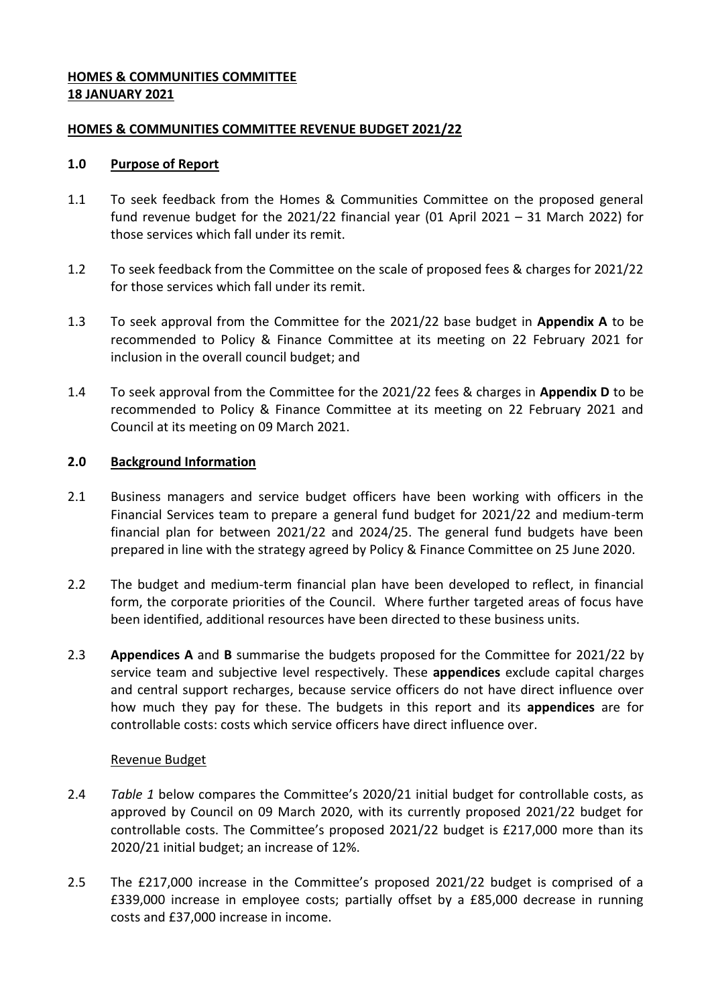## **HOMES & COMMUNITIES COMMITTEE 18 JANUARY 2021**

## **HOMES & COMMUNITIES COMMITTEE REVENUE BUDGET 2021/22**

### **1.0 Purpose of Report**

- 1.1 To seek feedback from the Homes & Communities Committee on the proposed general fund revenue budget for the 2021/22 financial year (01 April 2021 – 31 March 2022) for those services which fall under its remit.
- 1.2 To seek feedback from the Committee on the scale of proposed fees & charges for 2021/22 for those services which fall under its remit.
- 1.3 To seek approval from the Committee for the 2021/22 base budget in **Appendix A** to be recommended to Policy & Finance Committee at its meeting on 22 February 2021 for inclusion in the overall council budget; and
- 1.4 To seek approval from the Committee for the 2021/22 fees & charges in **Appendix D** to be recommended to Policy & Finance Committee at its meeting on 22 February 2021 and Council at its meeting on 09 March 2021.

### **2.0 Background Information**

- 2.1 Business managers and service budget officers have been working with officers in the Financial Services team to prepare a general fund budget for 2021/22 and medium-term financial plan for between 2021/22 and 2024/25. The general fund budgets have been prepared in line with the strategy agreed by Policy & Finance Committee on 25 June 2020.
- 2.2 The budget and medium-term financial plan have been developed to reflect, in financial form, the corporate priorities of the Council. Where further targeted areas of focus have been identified, additional resources have been directed to these business units.
- 2.3 **Appendices A** and **B** summarise the budgets proposed for the Committee for 2021/22 by service team and subjective level respectively. These **appendices** exclude capital charges and central support recharges, because service officers do not have direct influence over how much they pay for these. The budgets in this report and its **appendices** are for controllable costs: costs which service officers have direct influence over.

### Revenue Budget

- 2.4 *Table 1* below compares the Committee's 2020/21 initial budget for controllable costs, as approved by Council on 09 March 2020, with its currently proposed 2021/22 budget for controllable costs. The Committee's proposed 2021/22 budget is £217,000 more than its 2020/21 initial budget; an increase of 12%.
- 2.5 The £217,000 increase in the Committee's proposed 2021/22 budget is comprised of a £339,000 increase in employee costs; partially offset by a £85,000 decrease in running costs and £37,000 increase in income.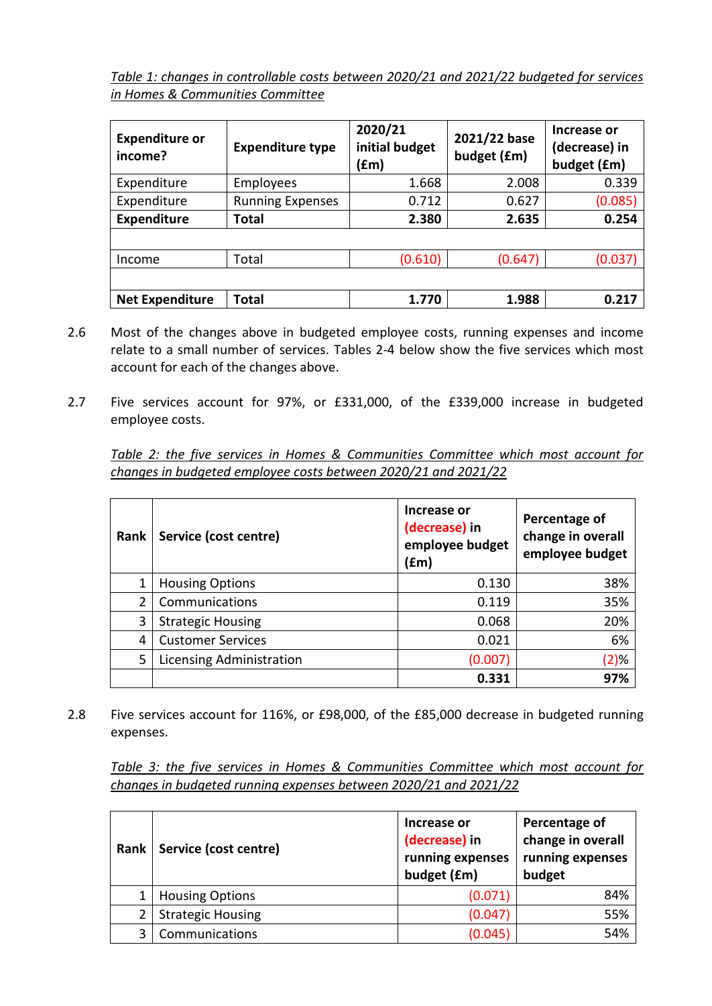*Table 1: changes in controllable costs between 2020/21 and 2021/22 budgeted for services in Homes & Communities Committee*

| <b>Expenditure or</b><br>income? | <b>Expenditure type</b> | 2020/21<br>initial budget<br>(£m) | 2021/22 base<br>budget (£m) | Increase or<br>(decrease) in<br>budget (£m) |
|----------------------------------|-------------------------|-----------------------------------|-----------------------------|---------------------------------------------|
| Expenditure                      | Employees               | 1.668                             | 2.008                       | 0.339                                       |
| Expenditure                      | <b>Running Expenses</b> | 0.712                             | 0.627                       | (0.085)                                     |
| <b>Expenditure</b>               | Total                   | 2.380                             | 2.635                       | 0.254                                       |
|                                  |                         |                                   |                             |                                             |
| Income                           | Total                   | (0.610)                           | (0.647)                     | (0.037)                                     |
|                                  |                         |                                   |                             |                                             |
| <b>Net Expenditure</b>           | Total                   | 1.770                             | 1.988                       | 0.217                                       |

- 2.6 Most of the changes above in budgeted employee costs, running expenses and income relate to a small number of services. Tables 2-4 below show the five services which most account for each of the changes above.
- 2.7 Five services account for 97%, or £331,000, of the £339,000 increase in budgeted employee costs.

*Table 2: the five services in Homes & Communities Committee which most account for changes in budgeted employee costs between 2020/21 and 2021/22*

| Rank | Service (cost centre)           | Increase or<br>(decrease) in<br>employee budget<br>(fm) | Percentage of<br>change in overall<br>employee budget |
|------|---------------------------------|---------------------------------------------------------|-------------------------------------------------------|
|      | <b>Housing Options</b>          | 0.130                                                   | 38%                                                   |
| 2    | Communications                  | 0.119                                                   | 35%                                                   |
| 3    | <b>Strategic Housing</b>        | 0.068                                                   | 20%                                                   |
| 4    | <b>Customer Services</b>        | 0.021                                                   | 6%                                                    |
| 5    | <b>Licensing Administration</b> | (0.007)                                                 | (2)%                                                  |
|      |                                 | 0.331                                                   | 97%                                                   |

2.8 Five services account for 116%, or £98,000, of the £85,000 decrease in budgeted running expenses.

*Table 3: the five services in Homes & Communities Committee which most account for changes in budgeted running expenses between 2020/21 and 2021/22*

| Rank | Service (cost centre)    | Increase or<br>(decrease) in<br>running expenses<br>budget (£m) | Percentage of<br>change in overall<br>running expenses<br>budget |
|------|--------------------------|-----------------------------------------------------------------|------------------------------------------------------------------|
|      | <b>Housing Options</b>   | (0.071)                                                         | 84%                                                              |
|      | <b>Strategic Housing</b> | (0.047)                                                         | 55%                                                              |
| ζ    | Communications           | (0.045)                                                         | 54%                                                              |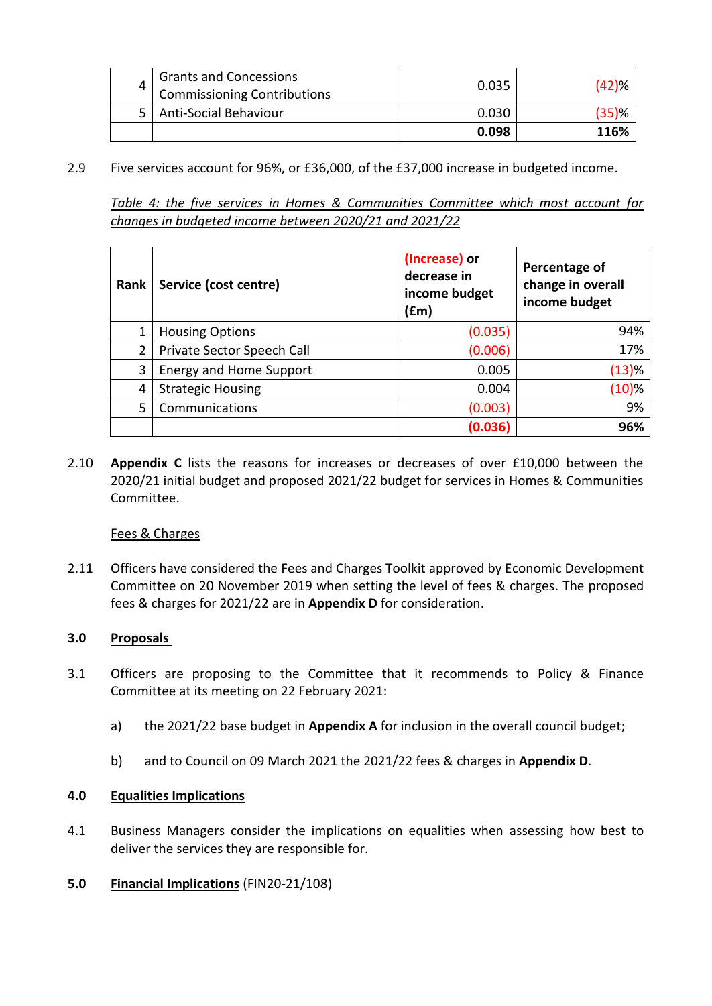| 4 | <b>Grants and Concessions</b><br><b>Commissioning Contributions</b> | 0.035 | (42)% |
|---|---------------------------------------------------------------------|-------|-------|
|   | Anti-Social Behaviour                                               | 0.030 | (35)% |
|   |                                                                     | 0.098 | 116%  |

2.9 Five services account for 96%, or £36,000, of the £37,000 increase in budgeted income.

*Table 4: the five services in Homes & Communities Committee which most account for changes in budgeted income between 2020/21 and 2021/22*

| Rank           | Service (cost centre)          | (Increase) or<br>decrease in<br>income budget<br>$(\text{fm})$ | Percentage of<br>change in overall<br>income budget |
|----------------|--------------------------------|----------------------------------------------------------------|-----------------------------------------------------|
| 1              | <b>Housing Options</b>         | (0.035)                                                        | 94%                                                 |
| $\overline{2}$ | Private Sector Speech Call     | (0.006)                                                        | 17%                                                 |
| 3              | <b>Energy and Home Support</b> | 0.005                                                          | (13)%                                               |
| 4              | <b>Strategic Housing</b>       | 0.004                                                          | (10)%                                               |
| 5              | Communications                 | (0.003)                                                        | 9%                                                  |
|                |                                | (0.036)                                                        | 96%                                                 |

2.10 **Appendix C** lists the reasons for increases or decreases of over £10,000 between the 2020/21 initial budget and proposed 2021/22 budget for services in Homes & Communities Committee.

### Fees & Charges

2.11 Officers have considered the Fees and Charges Toolkit approved by Economic Development Committee on 20 November 2019 when setting the level of fees & charges. The proposed fees & charges for 2021/22 are in **Appendix D** for consideration.

# **3.0 Proposals**

- 3.1 Officers are proposing to the Committee that it recommends to Policy & Finance Committee at its meeting on 22 February 2021:
	- a) the 2021/22 base budget in **Appendix A** for inclusion in the overall council budget;
	- b) and to Council on 09 March 2021 the 2021/22 fees & charges in **Appendix D**.

### **4.0 Equalities Implications**

- 4.1 Business Managers consider the implications on equalities when assessing how best to deliver the services they are responsible for.
- **5.0 Financial Implications** (FIN20-21/108)